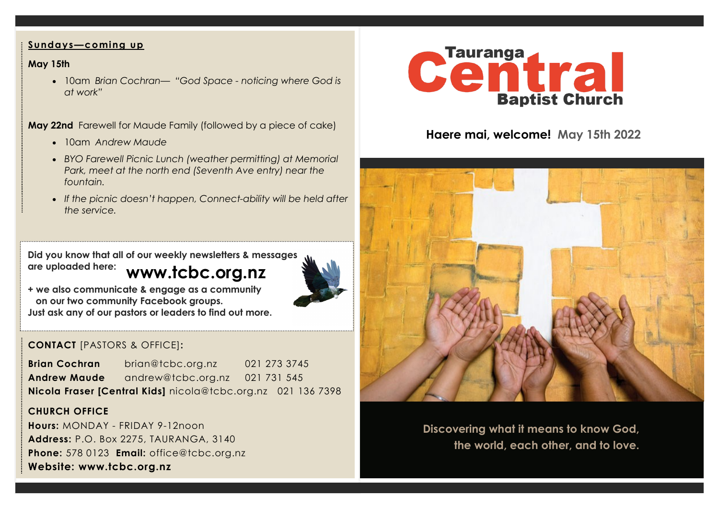## **Sundays—coming up**

## **May 15th**

• 10am *Brian Cochran— "God Space - noticing where God is at work"*

**May 22nd** Farewell for Maude Family (followed by a piece of cake)

- 10am *Andrew Maude*
- *BYO Farewell Picnic Lunch (weather permitting) at Memorial Park, meet at the north end (Seventh Ave entry) near the fountain.*
- *If the picnic doesn't happen, Connect-ability will be held after the service.*

**www.tcbc.org.nz Did you know that all of our weekly newsletters & messages are uploaded here:** 



**+ we also communicate & engage as a community on our two community Facebook groups. Just ask any of our pastors or leaders to find out more.**

# **CONTACT** [PASTORS & OFFICE]**:**

**Brian Cochran** brian@tcbc.org.nz 021 273 3745 **Andrew Maude** andrew@tcbc.org.nz021 731 545 **Nicola Fraser [Central Kids]** nicola@tcbc.org.nz021 136 7398

## **CHURCH OFFICE**

**Hours:** MONDAY - FRIDAY 9-12noon **Address:** P.O. Box 2275, TAURANGA, 3140 **Phone:** 578 0123 **Email:** office@tcbc.org.nz **Website: www.tcbc.org.nz**



# **Haere mai, welcome! May 15th 2022**



**Discovering what it means to know God, the world, each other, and to love.**